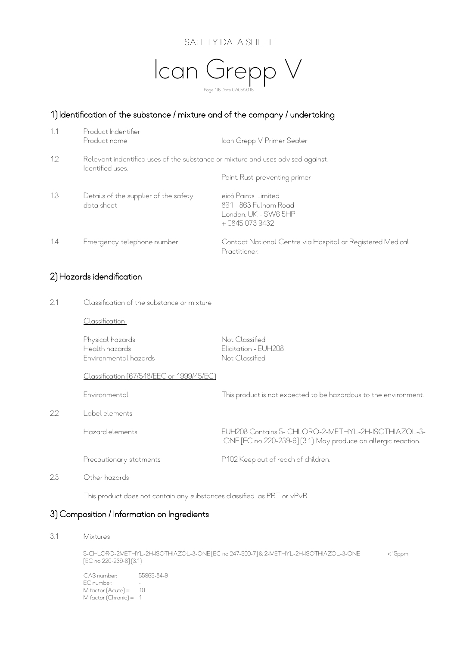



## 1) Identification of the substance / mixture and of the company / undertaking

| 1.1          | Product Indentifier<br>Product name                                                                 | Ican Grepp V Primer Sealer                                                             |
|--------------|-----------------------------------------------------------------------------------------------------|----------------------------------------------------------------------------------------|
| $12^{\circ}$ | Relevant indentified uses of the substance or mixture and uses advised against.<br>Identified uses. |                                                                                        |
|              |                                                                                                     | Paint. Rust-preventing primer                                                          |
| 1.3          | Details of the supplier of the safety<br>data sheet                                                 | eicó Paints Limited<br>861 - 863 Fulham Road<br>London, UK - SW6 5HP<br>$+08450739432$ |
| 1.4          | Emergency telephone number                                                                          | Contact National Centre via Hospital or Registered Medical<br>Practitioner.            |

#### 2) Hazards idendification

2.1 Classification of the substance or mixture

Classification

Physical hazards Not Classified Health hazards Elicitation - EUH208 Environmental hazards Not Classified

Classification (67/548/EEC or 1999/45/EC)

Environmental This product is not expected to be hazardous to the environment.

2.2 Label elements

Hazard elements EUH208 Contains 5- CHLORO-2-METHYL-2H-ISOTHIAZOL-3-

Precautionary statments P102 Keep out of reach of children.

ONE [EC no 220-239-6] (3:1). May produce an allergic reaction.

2.3 Other hazards

This product does not contain any substances classified as PBT or vPvB.

#### 3) Composition / Information on Ingredients

3.1 Mixtures

 5-CHLORO-2METHYL-2H-ISOTHIAZOL-3-ONE [EC no 247-500-7] & 2-METHYL-2H-ISOTHIAZOL-3-ONE <15ppm [EC no 220-239-6] (3:1)

 CAS number: 55965-84-9 ecan extended by EC number:  $\sim$  -M factor (Acute) = 10 M factor (Chronic) = 1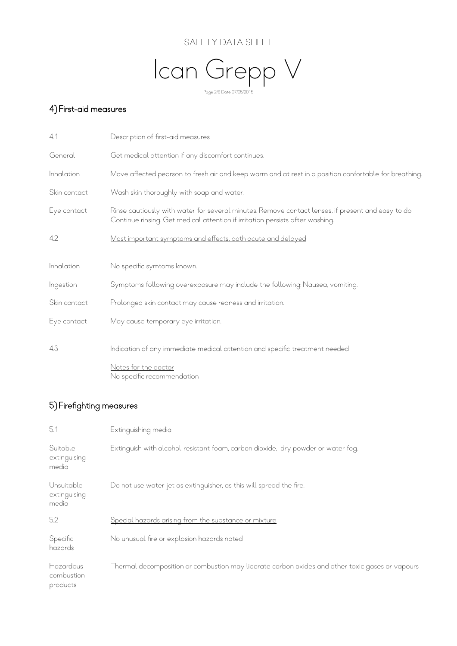



# 4) First-aid measures

| 4.1          | Description of first-aid measures                                                                                                                                                   |
|--------------|-------------------------------------------------------------------------------------------------------------------------------------------------------------------------------------|
| General      | Get medical attention if any discomfort continues.                                                                                                                                  |
| Inhalation   | Move affected pearson to fresh air and keep warm and at rest in a position confortable for breathing.                                                                               |
| Skin contact | Wash skin thoroughly with soap and water.                                                                                                                                           |
| Eye contact  | Rinse cautiously with water for several minutes. Remove contact lenses, if present and easy to do.<br>Continue rinsing. Get medical attention if irritation persists after washing. |
| 4.2          | Most important symptoms and effects, both acute and delayed                                                                                                                         |
| Inhalation   | No specific symtoms known.                                                                                                                                                          |
| Ingestion    | Symptoms following overexposure may include the following: Nausea, vomiting.                                                                                                        |
| Skin contact | Prolonged skin contact may cause redness and irritation.                                                                                                                            |
| Eye contact  | May cause temporary eye irritation.                                                                                                                                                 |
| 4.3          | Indication of any immediate medical attention and specific treatment needed                                                                                                         |
|              | Notes for the doctor<br>No specific recommendation                                                                                                                                  |

# 5) Firefighting measures

| 5.1                                 | <b>Extinguishing media</b>                                                                      |
|-------------------------------------|-------------------------------------------------------------------------------------------------|
| Suitable<br>extinguising<br>media   | Extinguish with alcohol-resistant foam, carbon dioxide, dry powder or water fog.                |
| Unsuitable<br>extinguising<br>media | Do not use water jet as extinguisher, as this will spread the fire.                             |
| 5.2                                 | Special hazards arising from the substance or mixture                                           |
| Specific<br>hazards                 | No unusual fire or explosion hazards noted                                                      |
| Hazardous<br>combustion<br>products | Thermal decomposition or combustion may liberate carbon oxides and other toxic gases or vapours |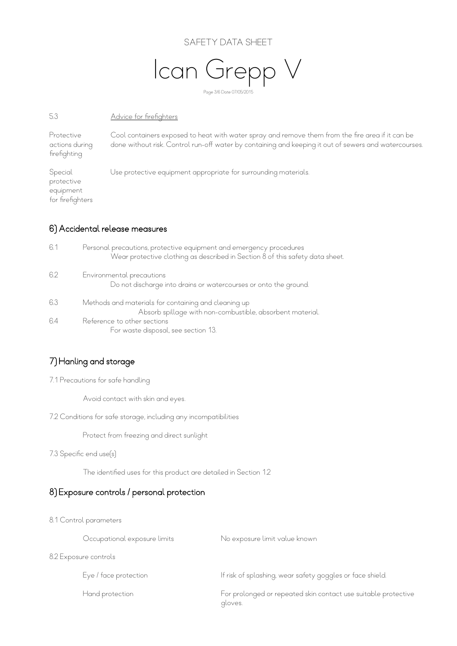#### SAFETY DATA SHEET



#### 5.3 Advice for firefighters

Protective Cool containers exposed to heat with water spray and remove them from the fire area if it can be actions during done without risk. Control run-off water by containing and keeping it out of sewers and watercourses. firefighting

Special Use protective equipment appropriate for surrounding materials. protective .<br>equipment for firefighters

#### 6) Accidental release measures

| 6.1 | Personal precautions, protective equipment and emergency procedures<br>Wear protective clothing as described in Section 8 of this safety data sheet. |
|-----|------------------------------------------------------------------------------------------------------------------------------------------------------|
| 6.2 | Environmental precautions<br>Do not discharge into drains or watercourses or onto the ground.                                                        |
| 6.3 | Methods and materials for containing and cleaning up<br>Absorb spillage with non-combustible, absorbent material.                                    |
| 6.4 | Reference to other sections<br>For waste disposal, see section 13.                                                                                   |

# 7) Hanling and storage

7.1 Precautions for safe handling

Avoid contact with skin and eyes.

7.2 Conditions for safe storage, including any incompatibilities

Protect from freezing and direct sunlight

#### 7.3 Specific end use(s)

The identified uses for this product are detailed in Section 1.2

#### 8) Exposure controls / personal protection

8.1 Control parameters

|                       | Occupational exposure limits | No exposure limit value known                                             |
|-----------------------|------------------------------|---------------------------------------------------------------------------|
| 8.2 Exposure controls |                              |                                                                           |
|                       | Eye / face protection        | If risk of splashing, wear safety goggles or face shield.                 |
|                       | Hand protection              | For prolonged or repeated skin contact use suitable protective<br>gloves. |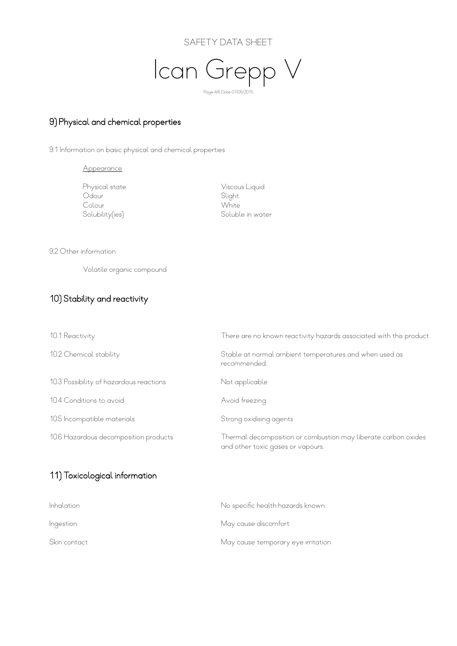



#### 9) Physical and chemical properties

9.1 Information on basic physical and chemical properties

Appearance

Odour Slight<br>Colour Solour Show Slight<br>White Colour<br>Solubility(ies)

 Physical state Viscous Liquid Soluble in water

9.2 Other information

Volatile organic compound

## 10) Stability and reactivity

| 10.1 Reactivity                         | There are no known reactivity hazards associated with this product                                  |
|-----------------------------------------|-----------------------------------------------------------------------------------------------------|
| 10.2 Chemical stability                 | Stable at normal ambient temperatures and when used as<br>recommended.                              |
| 10.3 Possibility of hazardous reactions | Not applicable                                                                                      |
| 10.4 Conditions to avoid                | Avoid freezing                                                                                      |
| 10.5 Incompatible materials             | Strong oxidising agents                                                                             |
| 10.6 Hazardous decomposition products   | Thermal decomposition or combustion may liberate carbon oxides<br>and other toxic gases or vapours. |

# 11) Toxicological information

| <i>Inhalation</i> | No specific health hazards known.  |
|-------------------|------------------------------------|
| Ingestion         | May cause discomfort               |
| Skin contact      | May cause temporary eye irritation |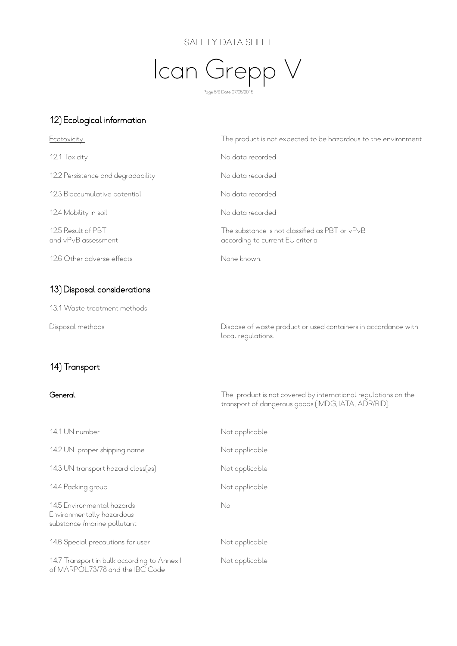#### SAFETY DATA SHEET



#### 12) Ecological information

| Ecotoxicity                               | The product is not expected to be hazardous to the environment                     |
|-------------------------------------------|------------------------------------------------------------------------------------|
| 12.1 Toxicity                             | No data recorded                                                                   |
| 12.2 Persistence and degradability        | No data recorded                                                                   |
| 12.3 Bioccumulative potential             | No data recorded                                                                   |
| 12.4 Mobility in soil                     | No data recorded                                                                   |
| 12.5 Result of PBT<br>and vPvB assessment | The substance is not classified as PBT or vPvB<br>according to current EU criteria |
| 12.6 Other adverse effects                | None known.                                                                        |

local regulations.

#### 13) Disposal considerations

13.1 Waste treatment methods

Disposal methods Dispose of waste product or used containers in accordance with

# 14) Transport

General The product is not covered by international regulations on the transport of dangerous goods (IMDG, IATA, ADR/RID).

| 14.1 UN number                                                                          | Not applicable |
|-----------------------------------------------------------------------------------------|----------------|
| 14.2 UN proper shipping name                                                            | Not applicable |
| 14.3 UN transport hazard class[es]                                                      | Not applicable |
| 14.4 Packing group                                                                      | Not applicable |
| 14.5 Environmental hazards<br>Environmentally hazardous<br>substance / marine pollutant | No             |
| 14.6 Special precautions for user                                                       | Not applicable |
| 14.7 Transport in bulk according to Annex II<br>of MARPOL73/78 and the IBC Code         | Not applicable |